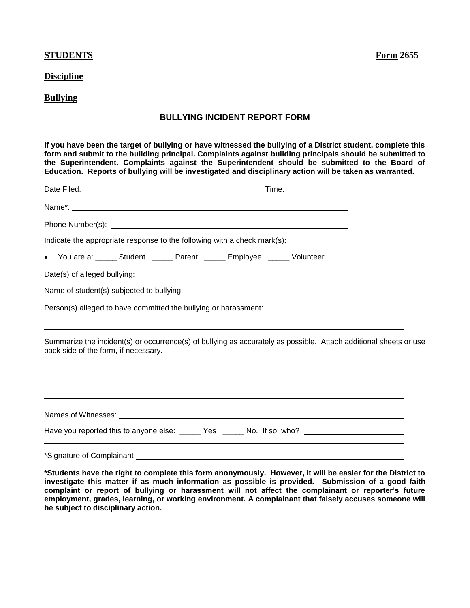## **STUDENTS Form 2655**

## **Discipline**

## **Bullying**

## **BULLYING INCIDENT REPORT FORM**

**If you have been the target of bullying or have witnessed the bullying of a District student, complete this form and submit to the building principal. Complaints against building principals should be submitted to the Superintendent. Complaints against the Superintendent should be submitted to the Board of Education. Reports of bullying will be investigated and disciplinary action will be taken as warranted.** 

|                                                                                                                                                                                                                                                                                                                                   |  |                                                                                  | Time:___________________ |  |  |
|-----------------------------------------------------------------------------------------------------------------------------------------------------------------------------------------------------------------------------------------------------------------------------------------------------------------------------------|--|----------------------------------------------------------------------------------|--------------------------|--|--|
|                                                                                                                                                                                                                                                                                                                                   |  |                                                                                  |                          |  |  |
|                                                                                                                                                                                                                                                                                                                                   |  |                                                                                  |                          |  |  |
| Indicate the appropriate response to the following with a check mark(s):                                                                                                                                                                                                                                                          |  |                                                                                  |                          |  |  |
| • You are a: ______ Student ______ Parent ______ Employee ______ Volunteer                                                                                                                                                                                                                                                        |  |                                                                                  |                          |  |  |
|                                                                                                                                                                                                                                                                                                                                   |  |                                                                                  |                          |  |  |
|                                                                                                                                                                                                                                                                                                                                   |  |                                                                                  |                          |  |  |
|                                                                                                                                                                                                                                                                                                                                   |  | ,我们也不会有什么。""我们的人,我们也不会有什么?""我们的人,我们也不会有什么?""我们的人,我们也不会有什么?""我们的人,我们也不会有什么?""我们的人 |                          |  |  |
| ,我们也不会有什么?""我们的人,我们也不会不会不会不会。""我们的人,我们也不会不会不会不会。""我们的人,我们也不会不会不会不会。""我们的人,我们也不会不<br>Summarize the incident(s) or occurrence(s) of bullying as accurately as possible. Attach additional sheets or use<br>back side of the form, if necessary.<br>,我们也不会有什么?""我们的人,我们也不会有什么?""我们的人,我们也不会有什么?""我们的人,我们也不会有什么?""我们的人,我们也不会有什么?""我们的人 |  |                                                                                  |                          |  |  |
| ,我们也不会有什么。""我们的人,我们也不会有什么?""我们的人,我们也不会有什么?""我们的人,我们也不会有什么?""我们的人,我们也不会有什么?""我们的人                                                                                                                                                                                                                                                  |  |                                                                                  |                          |  |  |
|                                                                                                                                                                                                                                                                                                                                   |  |                                                                                  |                          |  |  |
| Have you reported this to anyone else: ______ Yes _____ No. If so, who? ____________________________                                                                                                                                                                                                                              |  |                                                                                  |                          |  |  |

\*Signature of Complainant

**\*Students have the right to complete this form anonymously. However, it will be easier for the District to investigate this matter if as much information as possible is provided. Submission of a good faith complaint or report of bullying or harassment will not affect the complainant or reporter's future employment, grades, learning, or working environment. A complainant that falsely accuses someone will be subject to disciplinary action.**